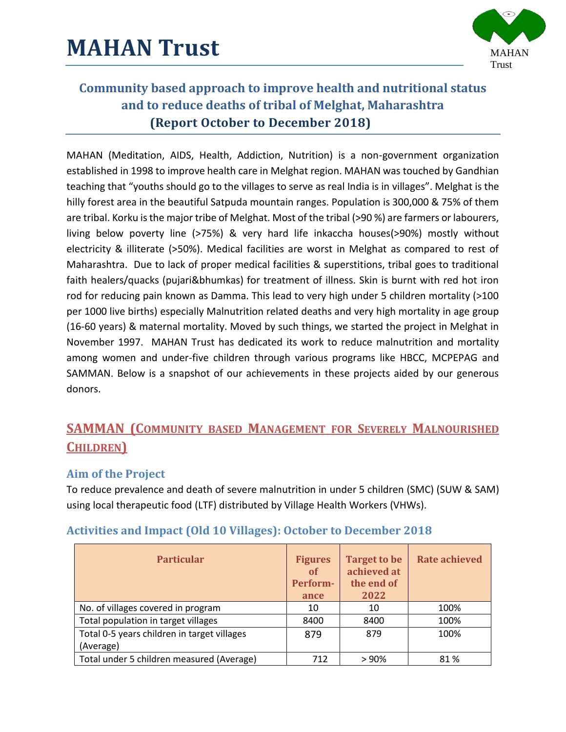

MAHAN (Meditation, AIDS, Health, Addiction, Nutrition) is a non-government organization established in 1998 to improve health care in Melghat region. MAHAN was touched by Gandhian teaching that "youths should go to the villages to serve as real India is in villages". Melghat is the hilly forest area in the beautiful Satpuda mountain ranges. Population is 300,000 & 75% of them are tribal. Korku is the major tribe of Melghat. Most of the tribal (>90 %) are farmers or labourers, living below poverty line (>75%) & very hard life inkaccha houses(>90%) mostly without electricity & illiterate (>50%). Medical facilities are worst in Melghat as compared to rest of Maharashtra. Due to lack of proper medical facilities & superstitions, tribal goes to traditional faith healers/quacks (pujari&bhumkas) for treatment of illness. Skin is burnt with red hot iron rod for reducing pain known as Damma. This lead to very high under 5 children mortality (>100 per 1000 live births) especially Malnutrition related deaths and very high mortality in age group (16-60 years) & maternal mortality. Moved by such things, we started the project in Melghat in November 1997. MAHAN Trust has dedicated its work to reduce malnutrition and mortality among women and under-five children through various programs like HBCC, MCPEPAG and SAMMAN. Below is a snapshot of our achievements in these projects aided by our generous donors.

## **SAMMAN (COMMUNITY BASED MANAGEMENT FOR SEVERELY MALNOURISHED CHILDREN)**

### **Aim of the Project**

To reduce prevalence and death of severe malnutrition in under 5 children (SMC) (SUW & SAM) using local therapeutic food (LTF) distributed by Village Health Workers (VHWs).

| <b>Particular</b>                                        | <b>Figures</b><br>of<br>Perform-<br>ance | <b>Target to be</b><br>achieved at<br>the end of<br>2022 | <b>Rate achieved</b> |
|----------------------------------------------------------|------------------------------------------|----------------------------------------------------------|----------------------|
| No. of villages covered in program                       | 10                                       | 10                                                       | 100%                 |
| Total population in target villages                      | 8400                                     | 8400                                                     | 100%                 |
| Total 0-5 years children in target villages<br>(Average) | 879                                      | 879                                                      | 100%                 |
| Total under 5 children measured (Average)                | 712                                      | >90%                                                     | 81%                  |

### **Activities and Impact (Old 10 Villages): October to December 2018**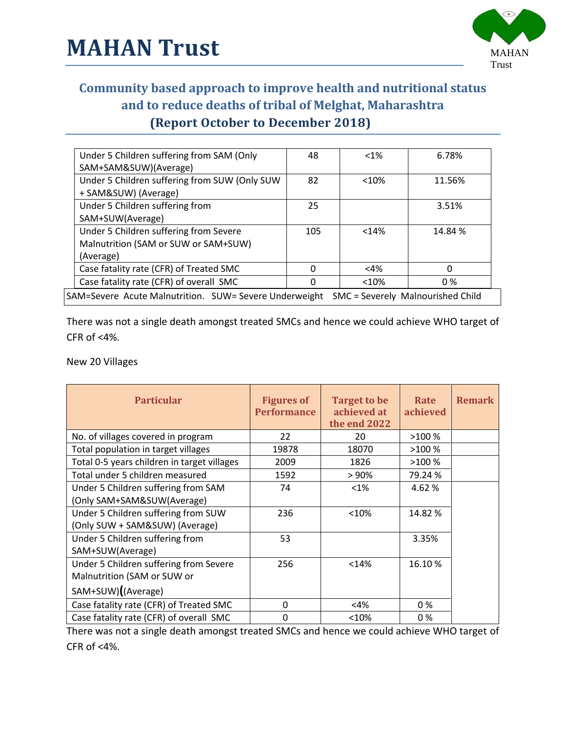

| Under 5 Children suffering from SAM (Only<br>SAM+SAM&SUW)(Average)                          | 48  | $<1\%$ | 6.78%   |  |
|---------------------------------------------------------------------------------------------|-----|--------|---------|--|
| Under 5 Children suffering from SUW (Only SUW<br>+ SAM&SUW) (Average)                       | 82  | < 10%  | 11.56%  |  |
| Under 5 Children suffering from<br>SAM+SUW(Average)                                         | 25  |        | 3.51%   |  |
| Under 5 Children suffering from Severe<br>Malnutrition (SAM or SUW or SAM+SUW)<br>(Average) | 105 | <14%   | 14.84 % |  |
| Case fatality rate (CFR) of Treated SMC                                                     | 0   | $<$ 4% | 0       |  |
| Case fatality rate (CFR) of overall SMC                                                     |     | < 10%  | 0 %     |  |
| SAM=Severe Acute Malnutrition. SUW= Severe Underweight<br>SMC = Severely Malnourished Child |     |        |         |  |

There was not a single death amongst treated SMCs and hence we could achieve WHO target of CFR of  $<4\%$ .

New 20 Villages

| <b>Particular</b>                           | <b>Figures of</b><br><b>Performance</b> | <b>Target to be</b><br>achieved at<br>the end 2022 | Rate<br>achieved | <b>Remark</b> |
|---------------------------------------------|-----------------------------------------|----------------------------------------------------|------------------|---------------|
| No. of villages covered in program          | 22                                      | 20                                                 | >100%            |               |
| Total population in target villages         | 19878                                   | 18070                                              | >100%            |               |
| Total 0-5 years children in target villages | 2009                                    | 1826                                               | >100%            |               |
| Total under 5 children measured             | 1592                                    | > 90%                                              | 79.24 %          |               |
| Under 5 Children suffering from SAM         | 74                                      | $< 1\%$                                            | 4.62 %           |               |
| (Only SAM+SAM&SUW(Average)                  |                                         |                                                    |                  |               |
| Under 5 Children suffering from SUW         | 236                                     | < 10%                                              | 14.82 %          |               |
| (Only SUW + SAM&SUW) (Average)              |                                         |                                                    |                  |               |
| Under 5 Children suffering from             | 53                                      |                                                    | 3.35%            |               |
| SAM+SUW(Average)                            |                                         |                                                    |                  |               |
| Under 5 Children suffering from Severe      | 256                                     | < 14%                                              | 16.10%           |               |
| Malnutrition (SAM or SUW or                 |                                         |                                                    |                  |               |
| SAM+SUW)((Average)                          |                                         |                                                    |                  |               |
| Case fatality rate (CFR) of Treated SMC     | $\Omega$                                | <4%                                                | 0 %              |               |
| Case fatality rate (CFR) of overall SMC     | 0                                       | < 10%                                              | 0 %              |               |

There was not a single death amongst treated SMCs and hence we could achieve WHO target of CFR of  $<4\%$ .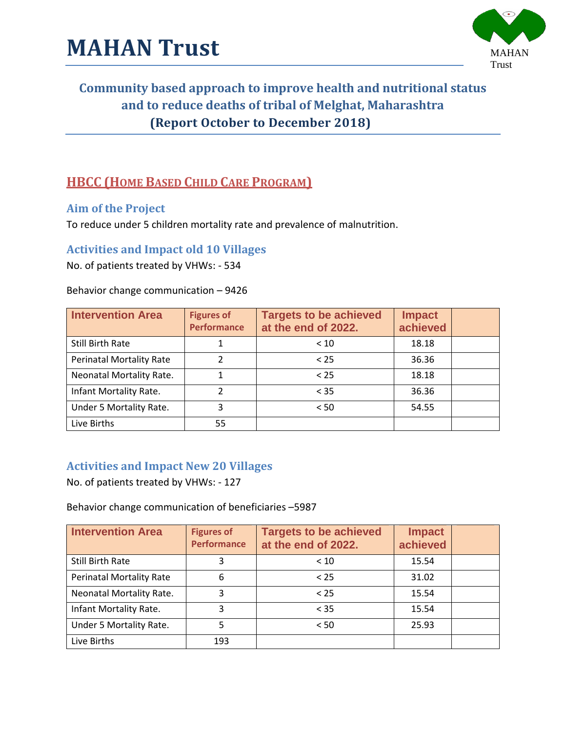

## **HBCC (HOME BASED CHILD CARE PROGRAM)**

#### **Aim of the Project**

To reduce under 5 children mortality rate and prevalence of malnutrition.

#### **Activities and Impact old 10 Villages**

No. of patients treated by VHWs: - 534

#### Behavior change communication – 9426

| <b>Intervention Area</b>        | <b>Figures of</b><br><b>Performance</b> | <b>Targets to be achieved</b><br>at the end of 2022. | <b>Impact</b><br>achieved |  |
|---------------------------------|-----------------------------------------|------------------------------------------------------|---------------------------|--|
| Still Birth Rate                |                                         | < 10                                                 | 18.18                     |  |
| <b>Perinatal Mortality Rate</b> | າ                                       | < 25                                                 | 36.36                     |  |
| Neonatal Mortality Rate.        |                                         | < 25                                                 | 18.18                     |  |
| Infant Mortality Rate.          | 2                                       | $<$ 35                                               | 36.36                     |  |
| Under 5 Mortality Rate.         | 3                                       | < 50                                                 | 54.55                     |  |
| Live Births                     | 55                                      |                                                      |                           |  |

#### **Activities and Impact New 20 Villages**

No. of patients treated by VHWs: - 127

Behavior change communication of beneficiaries –5987

| <b>Intervention Area</b>        | <b>Figures of</b><br><b>Performance</b> | <b>Targets to be achieved</b><br>at the end of 2022. | <b>Impact</b><br>achieved |  |
|---------------------------------|-----------------------------------------|------------------------------------------------------|---------------------------|--|
| <b>Still Birth Rate</b>         |                                         | < 10                                                 | 15.54                     |  |
| <b>Perinatal Mortality Rate</b> | 6                                       | < 25                                                 | 31.02                     |  |
| Neonatal Mortality Rate.        | 3                                       | < 25                                                 | 15.54                     |  |
| Infant Mortality Rate.          | 3                                       | < 35                                                 | 15.54                     |  |
| Under 5 Mortality Rate.         | 5                                       | < 50                                                 | 25.93                     |  |
| Live Births                     | 193                                     |                                                      |                           |  |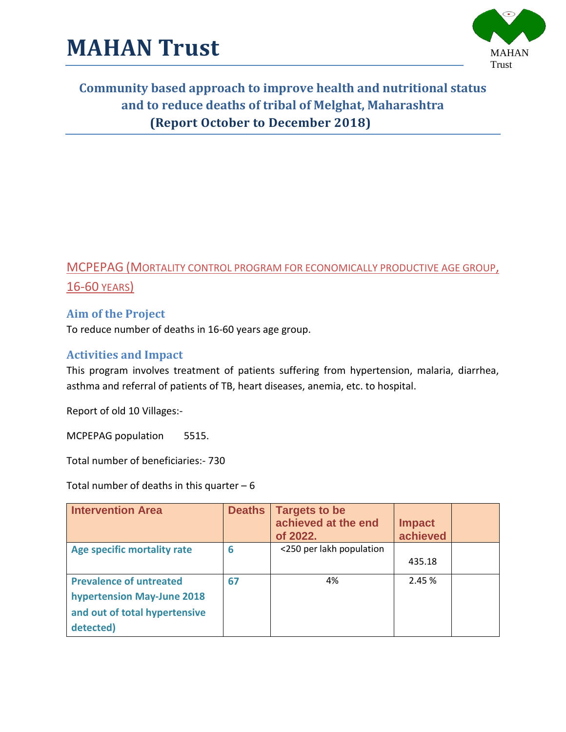

## MCPEPAG (MORTALITY CONTROL PROGRAM FOR ECONOMICALLY PRODUCTIVE AGE GROUP, 16-60 YEARS)

### **Aim of the Project**

To reduce number of deaths in 16-60 years age group.

#### **Activities and Impact**

This program involves treatment of patients suffering from hypertension, malaria, diarrhea, asthma and referral of patients of TB, heart diseases, anemia, etc. to hospital.

Report of old 10 Villages:-

MCPEPAG population 5515.

Total number of beneficiaries:- 730

Total number of deaths in this quarter  $-6$ 

| <b>Intervention Area</b>       | <b>Deaths</b> | <b>Targets to be</b><br>achieved at the end<br>of 2022. | <b>Impact</b><br>achieved |  |
|--------------------------------|---------------|---------------------------------------------------------|---------------------------|--|
| Age specific mortality rate    | 6             | <250 per lakh population                                |                           |  |
|                                |               |                                                         | 435.18                    |  |
| <b>Prevalence of untreated</b> | 67            | 4%                                                      | 2.45 %                    |  |
| hypertension May-June 2018     |               |                                                         |                           |  |
| and out of total hypertensive  |               |                                                         |                           |  |
| detected)                      |               |                                                         |                           |  |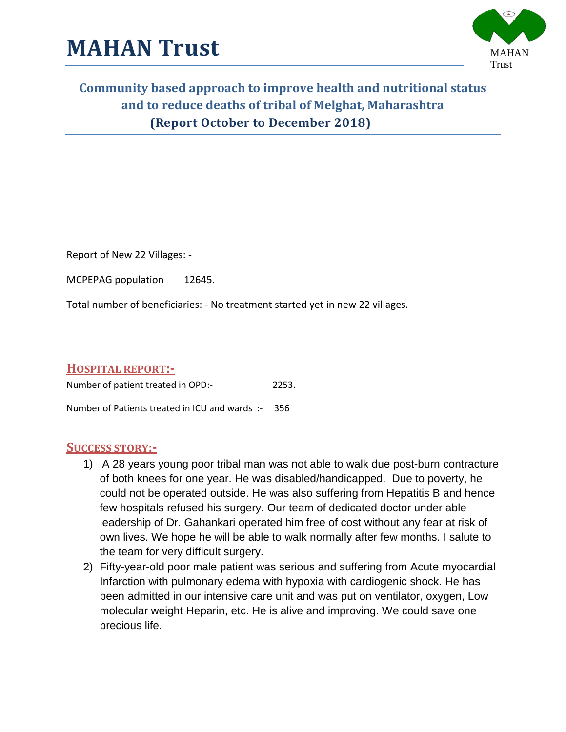

Report of New 22 Villages: -

MCPEPAG population 12645.

Total number of beneficiaries: - No treatment started yet in new 22 villages.

#### **HOSPITAL REPORT:-**

Number of patient treated in OPD:- 2253.

Number of Patients treated in ICU and wards :- 356

#### **SUCCESS STORY:-**

- 1) A 28 years young poor tribal man was not able to walk due post-burn contracture of both knees for one year. He was disabled/handicapped. Due to poverty, he could not be operated outside. He was also suffering from Hepatitis B and hence few hospitals refused his surgery. Our team of dedicated doctor under able leadership of Dr. Gahankari operated him free of cost without any fear at risk of own lives. We hope he will be able to walk normally after few months. I salute to the team for very difficult surgery.
- 2) Fifty-year-old poor male patient was serious and suffering from Acute myocardial Infarction with pulmonary edema with hypoxia with cardiogenic shock. He has been admitted in our intensive care unit and was put on ventilator, oxygen, Low molecular weight Heparin, etc. He is alive and improving. We could save one precious life.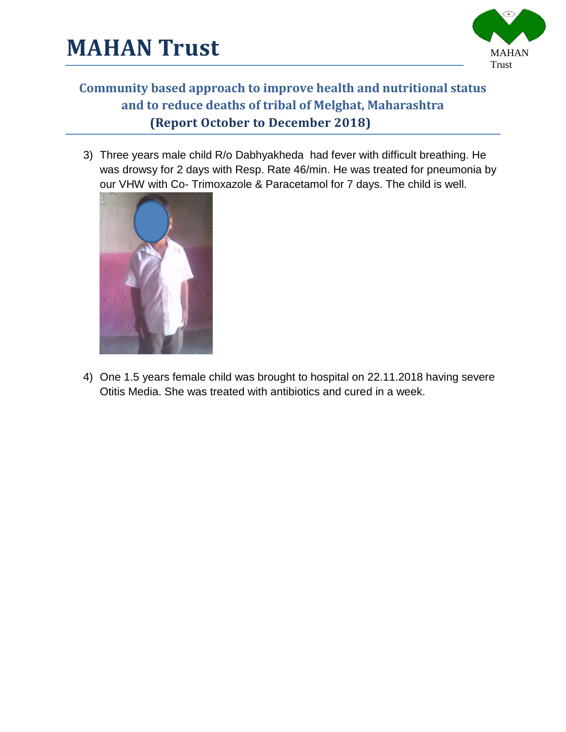

3) Three years male child R/o Dabhyakheda had fever with difficult breathing. He was drowsy for 2 days with Resp. Rate 46/min. He was treated for pneumonia by our VHW with Co- Trimoxazole & Paracetamol for 7 days. The child is well.



4) One 1.5 years female child was brought to hospital on 22.11.2018 having severe Otitis Media. She was treated with antibiotics and cured in a week.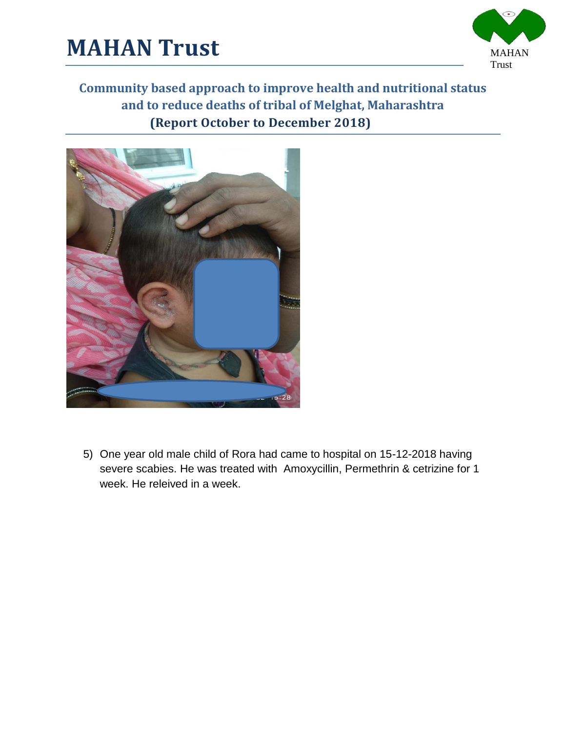





5) One year old male child of Rora had came to hospital on 15-12-2018 having severe scabies. He was treated with Amoxycillin, Permethrin & cetrizine for 1 week. He releived in a week.